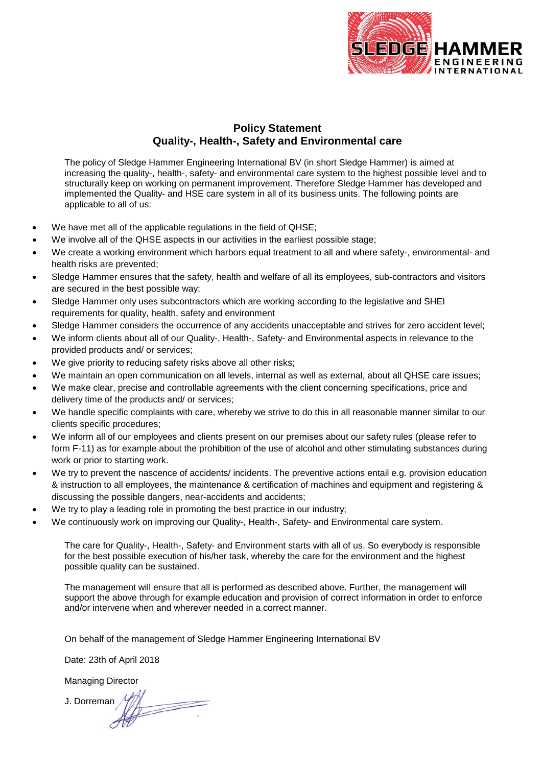

## **Policy Statement Quality-, Health-, Safety and Environmental care**

The policy of Sledge Hammer Engineering International BV (in short Sledge Hammer) is aimed at increasing the quality-, health-, safety- and environmental care system to the highest possible level and to structurally keep on working on permanent improvement. Therefore Sledge Hammer has developed and implemented the Quality- and HSE care system in all of its business units. The following points are applicable to all of us:

- We have met all of the applicable regulations in the field of QHSE;
- We involve all of the QHSE aspects in our activities in the earliest possible stage;
- We create a working environment which harbors equal treatment to all and where safety-, environmental- and health risks are prevented;
- Sledge Hammer ensures that the safety, health and welfare of all its employees, sub-contractors and visitors are secured in the best possible way;
- Sledge Hammer only uses subcontractors which are working according to the legislative and SHEI requirements for quality, health, safety and environment
- Sledge Hammer considers the occurrence of any accidents unacceptable and strives for zero accident level;
- We inform clients about all of our Quality-, Health-, Safety- and Environmental aspects in relevance to the provided products and/ or services;
- We give priority to reducing safety risks above all other risks;
- We maintain an open communication on all levels, internal as well as external, about all QHSE care issues;
- We make clear, precise and controllable agreements with the client concerning specifications, price and delivery time of the products and/ or services;
- We handle specific complaints with care, whereby we strive to do this in all reasonable manner similar to our clients specific procedures;
- We inform all of our employees and clients present on our premises about our safety rules (please refer to form F-11) as for example about the prohibition of the use of alcohol and other stimulating substances during work or prior to starting work.
- We try to prevent the nascence of accidents/ incidents. The preventive actions entail e.g. provision education & instruction to all employees, the maintenance & certification of machines and equipment and registering & discussing the possible dangers, near-accidents and accidents;
- We try to play a leading role in promoting the best practice in our industry;
- We continuously work on improving our Quality-, Health-, Safety- and Environmental care system.

The care for Quality-, Health-, Safety- and Environment starts with all of us. So everybody is responsible for the best possible execution of his/her task, whereby the care for the environment and the highest possible quality can be sustained.

The management will ensure that all is performed as described above. Further, the management will support the above through for example education and provision of correct information in order to enforce and/or intervene when and wherever needed in a correct manner.

On behalf of the management of Sledge Hammer Engineering International BV

Date: 23th of April 2018

Managing Director

 $\overline{\phantom{a}}$ J. Dorreman